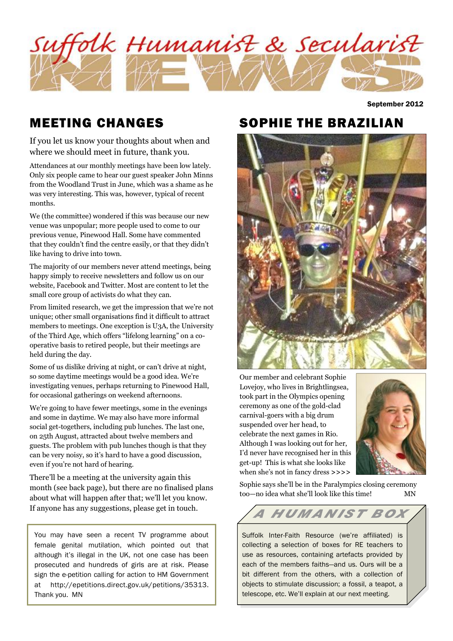

September 2012

## MEETING CHANGES

If you let us know your thoughts about when and where we should meet in future, thank you.

Attendances at our monthly meetings have been low lately. Only six people came to hear our guest speaker John Minns from the Woodland Trust in June, which was a shame as he was very interesting. This was, however, typical of recent months.

We (the committee) wondered if this was because our new venue was unpopular; more people used to come to our previous venue, Pinewood Hall. Some have commented that they couldn't find the centre easily, or that they didn't like having to drive into town.

The majority of our members never attend meetings, being happy simply to receive newsletters and follow us on our website, Facebook and Twitter. Most are content to let the small core group of activists do what they can.

From limited research, we get the impression that we're not unique; other small organisations find it difficult to attract members to meetings. One exception is U3A, the University of the Third Age, which offers "lifelong learning" on a cooperative basis to retired people, but their meetings are held during the day.

Some of us dislike driving at night, or can't drive at night, so some daytime meetings would be a good idea. We're investigating venues, perhaps returning to Pinewood Hall, for occasional gatherings on weekend afternoons.

We're going to have fewer meetings, some in the evenings and some in daytime. We may also have more informal social get-togethers, including pub lunches. The last one, on 25th August, attracted about twelve members and guests. The problem with pub lunches though is that they can be very noisy, so it's hard to have a good discussion, even if you're not hard of hearing.

There'll be a meeting at the university again this month (see back page), but there are no finalised plans about what will happen after that; we'll let you know. If anyone has any suggestions, please get in touch.

You may have seen a recent TV programme about female genital mutilation, which pointed out that although it's illegal in the UK, not one case has been prosecuted and hundreds of girls are at risk. Please sign the e-petition calling for action to HM Government at http://epetitions.direct.gov.uk/petitions/35313. Thank you. MN

## SOPHIE THE BRAZILIAN



Our member and celebrant Sophie Lovejoy, who lives in Brightlingsea, took part in the Olympics opening ceremony as one of the gold-clad carnival-goers with a big drum suspended over her head, to celebrate the next games in Rio. Although I was looking out for her, I'd never have recognised her in this get-up! This is what she looks like when she's not in fancy dress **>>>>**



Sophie says she'll be in the Paralympics closing ceremony too—no idea what she'll look like this time! MN

# A HUMANIST BOX

Suffolk Inter-Faith Resource (we're affiliated) is collecting a selection of boxes for RE teachers to use as resources, containing artefacts provided by each of the members faiths—and us. Ours will be a bit different from the others, with a collection of objects to stimulate discussion; a fossil, a teapot, a telescope, etc. We'll explain at our next meeting.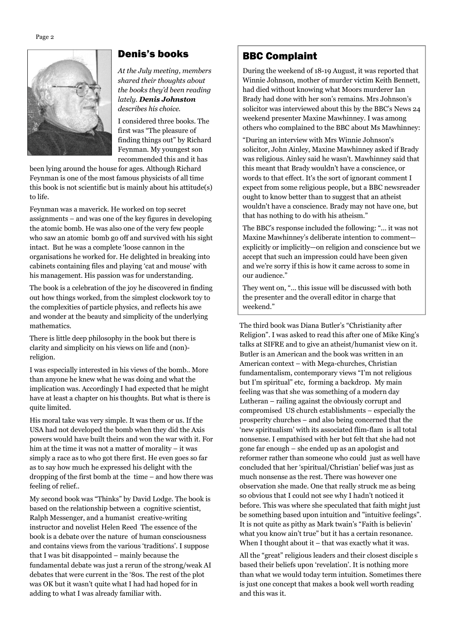

#### Denis's books

*At the July meeting, members shared their thoughts about the books they'd been reading lately. Denis Johnston describes his choice.* 

I considered three books. The first was "The pleasure of finding things out" by Richard Feynman. My youngest son recommended this and it has

been lying around the house for ages. Although Richard Feynman is one of the most famous physicists of all time this book is not scientific but is mainly about his attitude(s) to life.

Feynman was a maverick. He worked on top secret assignments – and was one of the key figures in developing the atomic bomb. He was also one of the very few people who saw an atomic bomb go off and survived with his sight intact. But he was a complete 'loose cannon in the organisations he worked for. He delighted in breaking into cabinets containing files and playing 'cat and mouse' with his management. His passion was for understanding.

The book is a celebration of the joy he discovered in finding out how things worked, from the simplest clockwork toy to the complexities of particle physics, and reflects his awe and wonder at the beauty and simplicity of the underlying mathematics.

There is little deep philosophy in the book but there is clarity and simplicity on his views on life and (non) religion.

I was especially interested in his views of the bomb.. More than anyone he knew what he was doing and what the implication was. Accordingly I had expected that he might have at least a chapter on his thoughts. But what is there is quite limited.

His moral take was very simple. It was them or us. If the USA had not developed the bomb when they did the Axis powers would have built theirs and won the war with it. For him at the time it was not a matter of morality – it was simply a race as to who got there first. He even goes so far as to say how much he expressed his delight with the dropping of the first bomb at the time – and how there was feeling of relief..

My second book was "Thinks" by David Lodge. The book is based on the relationship between a cognitive scientist, Ralph Messenger, and a humanist creative-writing instructor and novelist Helen Reed The essence of the book is a debate over the nature of human consciousness and contains views from the various 'traditions'. I suppose that I was bit disappointed – mainly because the fundamental debate was just a rerun of the strong/weak AI debates that were current in the '80s. The rest of the plot was OK but it wasn't quite what I had had hoped for in adding to what I was already familiar with.

### BBC Complaint

During the weekend of 18-19 August, it was reported that Winnie Johnson, mother of murder victim Keith Bennett, had died without knowing what Moors murderer Ian Brady had done with her son's remains. Mrs Johnson's solicitor was interviewed about this by the BBC's News 24 weekend presenter Maxine Mawhinney. I was among others who complained to the BBC about Ms Mawhinney:

"During an interview with Mrs Winnie Johnson's solicitor, John Ainley, Maxine Mawhinney asked if Brady was religious. Ainley said he wasn't. Mawhinney said that this meant that Brady wouldn't have a conscience, or words to that effect. It's the sort of ignorant comment I expect from some religious people, but a BBC newsreader ought to know better than to suggest that an atheist wouldn't have a conscience. Brady may not have one, but that has nothing to do with his atheism."

The BBC's response included the following: "... it was not Maxine Mawhinney's deliberate intention to comment explicitly or implicitly—on religion and conscience but we accept that such an impression could have been given and we're sorry if this is how it came across to some in our audience."

They went on, "... this issue will be discussed with both the presenter and the overall editor in charge that weekend."

The third book was Diana Butler's "Christianity after Religion". I was asked to read this after one of Mike King's talks at SIFRE and to give an atheist/humanist view on it. Butler is an American and the book was written in an American context – with Mega-churches, Christian fundamentalism, contemporary views "I'm not religious but I'm spiritual" etc, forming a backdrop. My main feeling was that she was something of a modern day Lutheran – railing against the obviously corrupt and compromised US church establishments – especially the prosperity churches – and also being concerned that the 'new spiritualism' with its associated flim-flam is all total nonsense. I empathised with her but felt that she had not gone far enough – she ended up as an apologist and reformer rather than someone who could just as well have concluded that her 'spiritual/Christian' belief was just as much nonsense as the rest. There was however one observation she made. One that really struck me as being so obvious that I could not see why I hadn't noticed it before. This was where she speculated that faith might just be something based upon intuition and "intuitive feelings". It is not quite as pithy as Mark twain's "Faith is believin' what you know ain't true" but it has a certain resonance. When I thought about it  $-$  that was exactly what it was.

All the "great" religious leaders and their closest disciple s based their beliefs upon 'revelation'. It is nothing more than what we would today term intuition. Sometimes there is just one concept that makes a book well worth reading and this was it.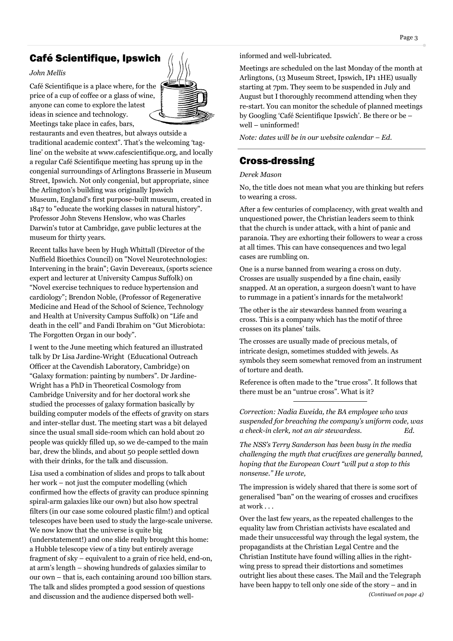## **Café Scientifique, Ipswich**  $\left| \right|$   $\left| \right|$  informed and well-lubricated.

#### *John Mellis*

Café Scientifique is a place where, for the price of a cup of coffee or a glass of wine, anyone can come to explore the latest ideas in science and technology. Meetings take place in cafes, bars,



restaurants and even theatres, but always outside a traditional academic context". That's the welcoming 'tagline' on the website at www.cafescientifique.org, and locally a regular Café Scientifique meeting has sprung up in the congenial surroundings of Arlingtons Brasserie in Museum Street, Ipswich. Not only congenial, but appropriate, since the Arlington's building was originally Ipswich Museum, England's first purpose-built museum, created in 1847 to "educate the working classes in natural history". Professor John Stevens Henslow, who was Charles Darwin's tutor at Cambridge, gave public lectures at the museum for thirty years.

Recent talks have been by Hugh Whittall (Director of the Nuffield Bioethics Council) on "Novel Neurotechnologies: Intervening in the brain"; Gavin Devereaux, (sports science expert and lecturer at University Campus Suffolk) on "Novel exercise techniques to reduce hypertension and cardiology"; Brendon Noble, (Professor of Regenerative Medicine and Head of the School of Science, Technology and Health at University Campus Suffolk) on "Life and death in the cell" and Fandi Ibrahim on "Gut Microbiota: The Forgotten Organ in our body".

I went to the June meeting which featured an illustrated talk by Dr Lisa Jardine-Wright (Educational Outreach Officer at the Cavendish Laboratory, Cambridge) on "Galaxy formation: painting by numbers". Dr Jardine-Wright has a PhD in Theoretical Cosmology from Cambridge University and for her doctoral work she studied the processes of galaxy formation basically by building computer models of the effects of gravity on stars and inter-stellar dust. The meeting start was a bit delayed since the usual small side-room which can hold about 20 people was quickly filled up, so we de-camped to the main bar, drew the blinds, and about 50 people settled down with their drinks, for the talk and discussion.

Lisa used a combination of slides and props to talk about her work – not just the computer modelling (which confirmed how the effects of gravity can produce spinning spiral-arm galaxies like our own) but also how spectral filters (in our case some coloured plastic film!) and optical telescopes have been used to study the large-scale universe. We now know that the universe is quite big (understatement!) and one slide really brought this home: a Hubble telescope view of a tiny but entirely average fragment of sky – equivalent to a grain of rice held, end-on, at arm's length – showing hundreds of galaxies similar to our own – that is, each containing around 100 billion stars. The talk and slides prompted a good session of questions and discussion and the audience dispersed both well-

Meetings are scheduled on the last Monday of the month at Arlingtons, (13 Museum Street, Ipswich, IP1 1HE) usually starting at 7pm. They seem to be suspended in July and August but I thoroughly recommend attending when they re-start. You can monitor the schedule of planned meetings by Googling 'Café Scientifique Ipswich'. Be there or be – well – uninformed!

*Note: dates will be in our website calendar – Ed.* 

### Cross-dressing Cross-dressing

*Derek Mason* 

No, the title does not mean what you are thinking but refers to wearing a cross.

After a few centuries of complacency, with great wealth and unquestioned power, the Christian leaders seem to think that the church is under attack, with a hint of panic and paranoia. They are exhorting their followers to wear a cross at all times. This can have consequences and two legal cases are rumbling on.

One is a nurse banned from wearing a cross on duty. Crosses are usually suspended by a fine chain, easily snapped. At an operation, a surgeon doesn't want to have to rummage in a patient's innards for the metalwork!

The other is the air stewardess banned from wearing a cross. This is a company which has the motif of three crosses on its planes' tails.

The crosses are usually made of precious metals, of intricate design, sometimes studded with jewels. As symbols they seem somewhat removed from an instrument of torture and death.

Reference is often made to the "true cross". It follows that there must be an "untrue cross". What is it?

*Correction: Nadia Eweida, the BA employee who was suspended for breaching the company's uniform code, was a check-in clerk, not an air stewardess. Ed.* 

*The NSS's Terry Sanderson has been busy in the media challenging the myth that crucifixes are generally banned, hoping that the European Court "will put a stop to this nonsense." He wrote,* 

The impression is widely shared that there is some sort of generalised "ban" on the wearing of crosses and crucifixes at work . . .

Over the last few years, as the repeated challenges to the equality law from Christian activists have escalated and made their unsuccessful way through the legal system, the propagandists at the Christian Legal Centre and the Christian Institute have found willing allies in the rightwing press to spread their distortions and sometimes outright lies about these cases. The Mail and the Telegraph have been happy to tell only one side of the story – and in *(Continued on page 4)*